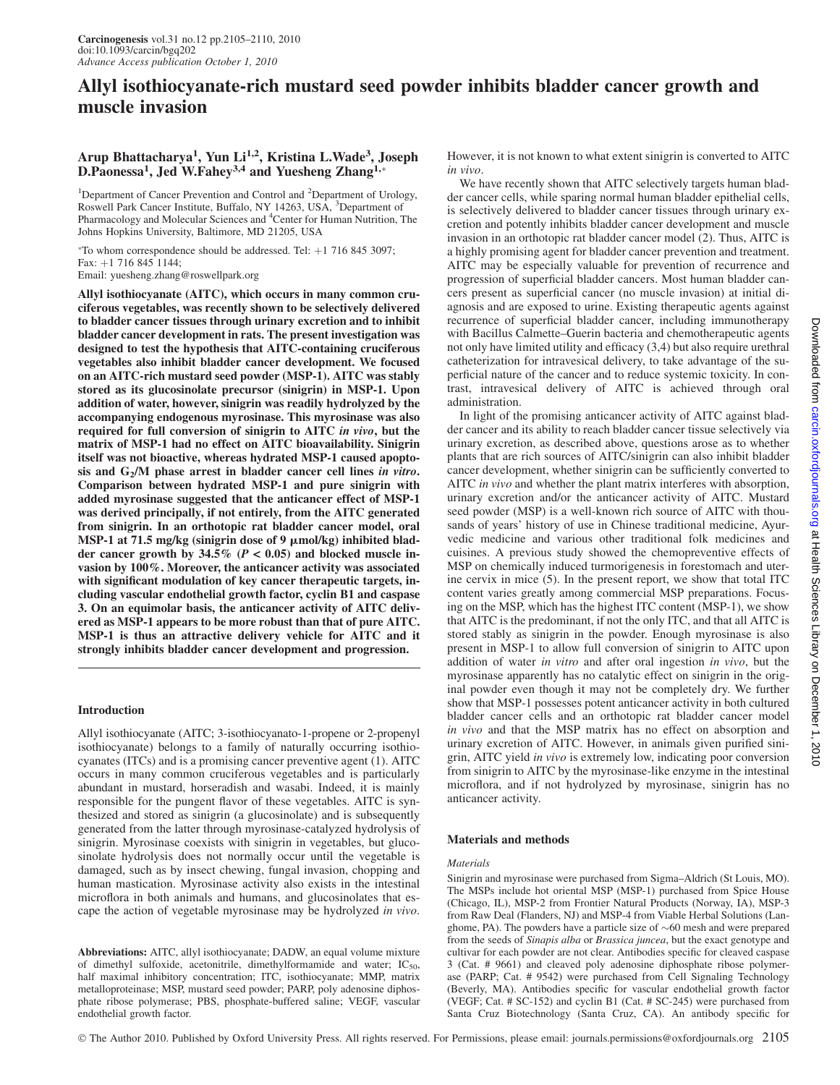# Allyl isothiocyanate-rich mustard seed powder inhibits bladder cancer growth and muscle invasion

# Arup Bhattacharya<sup>1</sup>, Yun Li<sup>1,2</sup>, Kristina L.Wade<sup>3</sup>, Joseph D.Paonessa<sup>1</sup>, Jed W.Fahey<sup>3,4</sup> and Yuesheng Zhang<sup>1,\*</sup>

<sup>1</sup>Department of Cancer Prevention and Control and <sup>2</sup>Department of Urology, Roswell Park Cancer Institute, Buffalo, NY 14263, USA, <sup>3</sup>Department of Pharmacology and Molecular Sciences and <sup>4</sup>Center for Human Nutrition, The Johns Hopkins University, Baltimore, MD 21205, USA

 $*$ To whom correspondence should be addressed. Tel:  $+1$  716 845 3097; Fax: +1 716 845 1144; Email: yuesheng.zhang@roswellpark.org

Allyl isothiocyanate (AITC), which occurs in many common cruciferous vegetables, was recently shown to be selectively delivered to bladder cancer tissues through urinary excretion and to inhibit bladder cancer development in rats. The present investigation was designed to test the hypothesis that AITC-containing cruciferous vegetables also inhibit bladder cancer development. We focused on an AITC-rich mustard seed powder (MSP-1). AITC was stably stored as its glucosinolate precursor (sinigrin) in MSP-1. Upon addition of water, however, sinigrin was readily hydrolyzed by the accompanying endogenous myrosinase. This myrosinase was also required for full conversion of sinigrin to AITC in vivo, but the matrix of MSP-1 had no effect on AITC bioavailability. Sinigrin itself was not bioactive, whereas hydrated MSP-1 caused apoptosis and G<sub>2</sub>/M phase arrest in bladder cancer cell lines in vitro. Comparison between hydrated MSP-1 and pure sinigrin with added myrosinase suggested that the anticancer effect of MSP-1 was derived principally, if not entirely, from the AITC generated from sinigrin. In an orthotopic rat bladder cancer model, oral MSP-1 at 71.5 mg/kg (sinigrin dose of 9  $\mu$ mol/kg) inhibited bladder cancer growth by  $34.5\%$  ( $P < 0.05$ ) and blocked muscle invasion by 100%. Moreover, the anticancer activity was associated with significant modulation of key cancer therapeutic targets, including vascular endothelial growth factor, cyclin B1 and caspase 3. On an equimolar basis, the anticancer activity of AITC delivered as MSP-1 appears to be more robust than that of pure AITC. MSP-1 is thus an attractive delivery vehicle for AITC and it strongly inhibits bladder cancer development and progression.

# Introduction

Allyl isothiocyanate (AITC; 3-isothiocyanato-1-propene or 2-propenyl isothiocyanate) belongs to a family of naturally occurring isothiocyanates (ITCs) and is a promising cancer preventive agent (1). AITC occurs in many common cruciferous vegetables and is particularly abundant in mustard, horseradish and wasabi. Indeed, it is mainly responsible for the pungent flavor of these vegetables. AITC is synthesized and stored as sinigrin (a glucosinolate) and is subsequently generated from the latter through myrosinase-catalyzed hydrolysis of sinigrin. Myrosinase coexists with sinigrin in vegetables, but glucosinolate hydrolysis does not normally occur until the vegetable is damaged, such as by insect chewing, fungal invasion, chopping and human mastication. Myrosinase activity also exists in the intestinal microflora in both animals and humans, and glucosinolates that escape the action of vegetable myrosinase may be hydrolyzed in vivo.

Abbreviations: AITC, allyl isothiocyanate; DADW, an equal volume mixture of dimethyl sulfoxide, acetonitrile, dimethylformamide and water;  $IC_{50}$ , half maximal inhibitory concentration; ITC, isothiocyanate; MMP, matrix metalloproteinase; MSP, mustard seed powder; PARP, poly adenosine diphosphate ribose polymerase; PBS, phosphate-buffered saline; VEGF, vascular endothelial growth factor.

However, it is not known to what extent sinigrin is converted to AITC in vivo.

We have recently shown that AITC selectively targets human bladder cancer cells, while sparing normal human bladder epithelial cells, is selectively delivered to bladder cancer tissues through urinary excretion and potently inhibits bladder cancer development and muscle invasion in an orthotopic rat bladder cancer model (2). Thus, AITC is a highly promising agent for bladder cancer prevention and treatment. AITC may be especially valuable for prevention of recurrence and progression of superficial bladder cancers. Most human bladder cancers present as superficial cancer (no muscle invasion) at initial diagnosis and are exposed to urine. Existing therapeutic agents against recurrence of superficial bladder cancer, including immunotherapy with Bacillus Calmette–Guerin bacteria and chemotherapeutic agents not only have limited utility and efficacy (3,4) but also require urethral catheterization for intravesical delivery, to take advantage of the superficial nature of the cancer and to reduce systemic toxicity. In contrast, intravesical delivery of AITC is achieved through oral administration.

In light of the promising anticancer activity of AITC against bladder cancer and its ability to reach bladder cancer tissue selectively via urinary excretion, as described above, questions arose as to whether plants that are rich sources of AITC/sinigrin can also inhibit bladder cancer development, whether sinigrin can be sufficiently converted to AITC *in vivo* and whether the plant matrix interferes with absorption, urinary excretion and/or the anticancer activity of AITC. Mustard seed powder (MSP) is a well-known rich source of AITC with thousands of years' history of use in Chinese traditional medicine, Ayurvedic medicine and various other traditional folk medicines and cuisines. A previous study showed the chemopreventive effects of MSP on chemically induced turmorigenesis in forestomach and uterine cervix in mice (5). In the present report, we show that total ITC content varies greatly among commercial MSP preparations. Focusing on the MSP, which has the highest ITC content (MSP-1), we show that AITC is the predominant, if not the only ITC, and that all AITC is stored stably as sinigrin in the powder. Enough myrosinase is also present in MSP-1 to allow full conversion of sinigrin to AITC upon addition of water in vitro and after oral ingestion in vivo, but the myrosinase apparently has no catalytic effect on sinigrin in the original powder even though it may not be completely dry. We further show that MSP-1 possesses potent anticancer activity in both cultured bladder cancer cells and an orthotopic rat bladder cancer model in vivo and that the MSP matrix has no effect on absorption and urinary excretion of AITC. However, in animals given purified sinigrin, AITC yield in vivo is extremely low, indicating poor conversion from sinigrin to AITC by the myrosinase-like enzyme in the intestinal microflora, and if not hydrolyzed by myrosinase, sinigrin has no anticancer activity.

#### Materials and methods

#### Materials

Sinigrin and myrosinase were purchased from Sigma–Aldrich (St Louis, MO). The MSPs include hot oriental MSP (MSP-1) purchased from Spice House (Chicago, IL), MSP-2 from Frontier Natural Products (Norway, IA), MSP-3 from Raw Deal (Flanders, NJ) and MSP-4 from Viable Herbal Solutions (Langhome, PA). The powders have a particle size of  $\sim 60$  mesh and were prepared from the seeds of Sinapis alba or Brassica juncea, but the exact genotype and cultivar for each powder are not clear. Antibodies specific for cleaved caspase 3 (Cat. # 9661) and cleaved poly adenosine diphosphate ribose polymerase (PARP; Cat. # 9542) were purchased from Cell Signaling Technology (Beverly, MA). Antibodies specific for vascular endothelial growth factor (VEGF; Cat. # SC-152) and cyclin B1 (Cat. # SC-245) were purchased from Santa Cruz Biotechnology (Santa Cruz, CA). An antibody specific for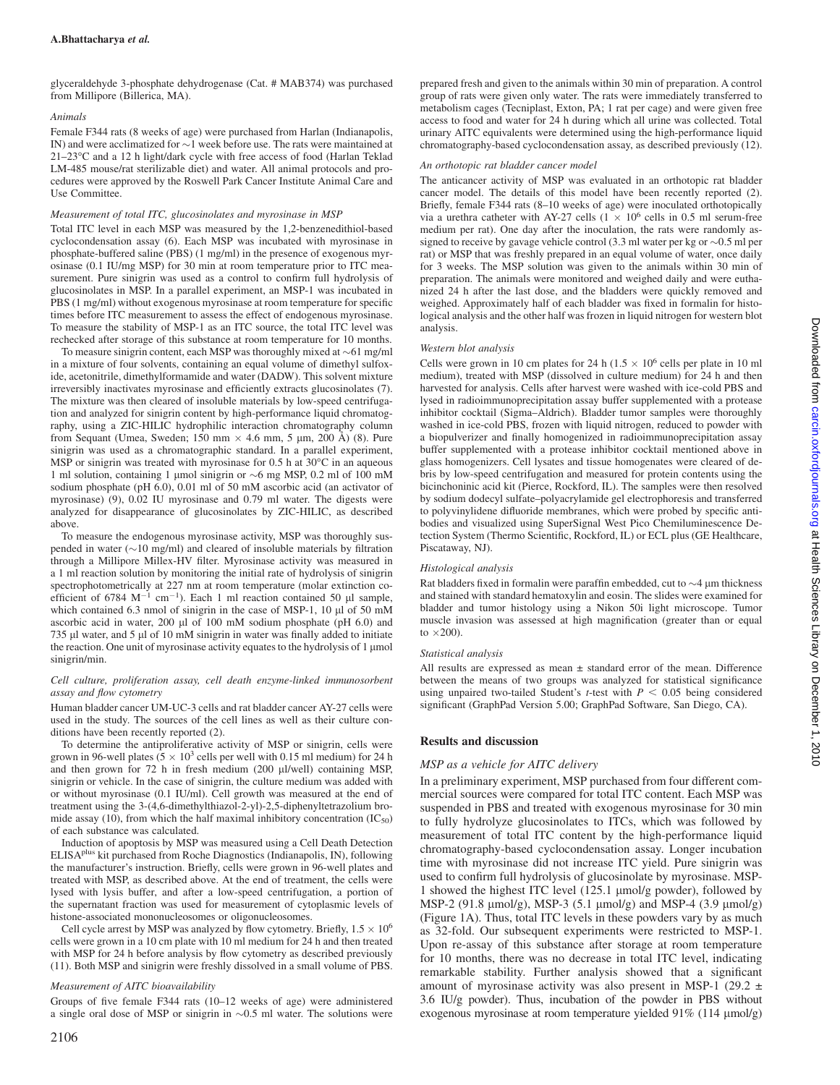glyceraldehyde 3-phosphate dehydrogenase (Cat. # MAB374) was purchased from Millipore (Billerica, MA).

#### Animals

Female F344 rats (8 weeks of age) were purchased from Harlan (Indianapolis, IN) and were acclimatized for  $\sim$ 1 week before use. The rats were maintained at 21-23°C and a 12 h light/dark cycle with free access of food (Harlan Teklad LM-485 mouse/rat sterilizable diet) and water. All animal protocols and procedures were approved by the Roswell Park Cancer Institute Animal Care and Use Committee.

#### Measurement of total ITC, glucosinolates and myrosinase in MSP

Total ITC level in each MSP was measured by the 1,2-benzenedithiol-based cyclocondensation assay (6). Each MSP was incubated with myrosinase in phosphate-buffered saline (PBS) (1 mg/ml) in the presence of exogenous myrosinase (0.1 IU/mg MSP) for 30 min at room temperature prior to ITC measurement. Pure sinigrin was used as a control to confirm full hydrolysis of glucosinolates in MSP. In a parallel experiment, an MSP-1 was incubated in PBS (1 mg/ml) without exogenous myrosinase at room temperature for specific times before ITC measurement to assess the effect of endogenous myrosinase. To measure the stability of MSP-1 as an ITC source, the total ITC level was rechecked after storage of this substance at room temperature for 10 months.

To measure sinigrin content, each MSP was thoroughly mixed at  $\sim$  61 mg/ml in a mixture of four solvents, containing an equal volume of dimethyl sulfoxide, acetonitrile, dimethylformamide and water (DADW). This solvent mixture irreversibly inactivates myrosinase and efficiently extracts glucosinolates (7). The mixture was then cleared of insoluble materials by low-speed centrifugation and analyzed for sinigrin content by high-performance liquid chromatography, using a ZIC-HILIC hydrophilic interaction chromatography column from Sequant (Umea, Sweden; 150 mm  $\times$  4.6 mm, 5 µm, 200 Å) (8). Pure sinigrin was used as a chromatographic standard. In a parallel experiment, MSP or sinigrin was treated with myrosinase for  $0.5$  h at  $30^{\circ}$ C in an aqueous 1 ml solution, containing 1 µmol sinigrin or  $\sim$ 6 mg MSP, 0.2 ml of 100 mM sodium phosphate (pH 6.0), 0.01 ml of 50 mM ascorbic acid (an activator of myrosinase) (9), 0.02 IU myrosinase and 0.79 ml water. The digests were analyzed for disappearance of glucosinolates by ZIC-HILIC, as described above.

To measure the endogenous myrosinase activity, MSP was thoroughly suspended in water  $(\sim 10 \text{ mg/ml})$  and cleared of insoluble materials by filtration through a Millipore Millex-HV filter. Myrosinase activity was measured in a 1 ml reaction solution by monitoring the initial rate of hydrolysis of sinigrin spectrophotometrically at 227 nm at room temperature (molar extinction coefficient of 6784 M<sup>-1</sup> cm<sup>-1</sup>). Each 1 ml reaction contained 50 µl sample, which contained 6.3 nmol of sinigrin in the case of MSP-1, 10  $\mu$ l of 50 mM ascorbic acid in water,  $200 \mu l$  of  $100 \mu M$  sodium phosphate (pH  $6.0$ ) and 735  $\mu$ l water, and 5  $\mu$ l of 10 mM sinigrin in water was finally added to initiate the reaction. One unit of myrosinase activity equates to the hydrolysis of  $1 \mu$ mol sinigrin/min.

#### Cell culture, proliferation assay, cell death enzyme-linked immunosorbent assay and flow cytometry

Human bladder cancer UM-UC-3 cells and rat bladder cancer AY-27 cells were used in the study. The sources of the cell lines as well as their culture conditions have been recently reported (2).

To determine the antiproliferative activity of MSP or sinigrin, cells were grown in 96-well plates  $(5 \times 10^3 \text{ cells per well with } 0.15 \text{ ml medium})$  for 24 h and then grown for  $72$  h in fresh medium (200  $\mu$ l/well) containing MSP, sinigrin or vehicle. In the case of sinigrin, the culture medium was added with or without myrosinase (0.1 IU/ml). Cell growth was measured at the end of treatment using the 3-(4,6-dimethylthiazol-2-yl)-2,5-diphenyltetrazolium bromide assay (10), from which the half maximal inhibitory concentration  $(IC_{50})$ of each substance was calculated.

Induction of apoptosis by MSP was measured using a Cell Death Detection ELISAplus kit purchased from Roche Diagnostics (Indianapolis, IN), following the manufacturer's instruction. Briefly, cells were grown in 96-well plates and treated with MSP, as described above. At the end of treatment, the cells were lysed with lysis buffer, and after a low-speed centrifugation, a portion of the supernatant fraction was used for measurement of cytoplasmic levels of histone-associated mononucleosomes or oligonucleosomes.

Cell cycle arrest by MSP was analyzed by flow cytometry. Briefly,  $1.5 \times 10^6$ cells were grown in a 10 cm plate with 10 ml medium for 24 h and then treated with MSP for 24 h before analysis by flow cytometry as described previously (11). Both MSP and sinigrin were freshly dissolved in a small volume of PBS.

#### Measurement of AITC bioavailability

Groups of five female F344 rats (10–12 weeks of age) were administered a single oral dose of MSP or sinigrin in  $\sim 0.5$  ml water. The solutions were

prepared fresh and given to the animals within 30 min of preparation. A control group of rats were given only water. The rats were immediately transferred to metabolism cages (Tecniplast, Exton, PA; 1 rat per cage) and were given free access to food and water for 24 h during which all urine was collected. Total urinary AITC equivalents were determined using the high-performance liquid chromatography-based cyclocondensation assay, as described previously (12).

#### An orthotopic rat bladder cancer model

The anticancer activity of MSP was evaluated in an orthotopic rat bladder cancer model. The details of this model have been recently reported (2). Briefly, female F344 rats (8–10 weeks of age) were inoculated orthotopically via a urethra catheter with AY-27 cells ( $1 \times 10^6$  cells in 0.5 ml serum-free medium per rat). One day after the inoculation, the rats were randomly assigned to receive by gavage vehicle control  $(3.3 \text{ ml water per kg or } \sim 0.5 \text{ ml per})$ rat) or MSP that was freshly prepared in an equal volume of water, once daily for 3 weeks. The MSP solution was given to the animals within 30 min of preparation. The animals were monitored and weighed daily and were euthanized 24 h after the last dose, and the bladders were quickly removed and weighed. Approximately half of each bladder was fixed in formalin for histological analysis and the other half was frozen in liquid nitrogen for western blot analysis.

#### Western blot analysis

Cells were grown in 10 cm plates for 24 h ( $1.5 \times 10^6$  cells per plate in 10 ml medium), treated with MSP (dissolved in culture medium) for 24 h and then harvested for analysis. Cells after harvest were washed with ice-cold PBS and lysed in radioimmunoprecipitation assay buffer supplemented with a protease inhibitor cocktail (Sigma–Aldrich). Bladder tumor samples were thoroughly washed in ice-cold PBS, frozen with liquid nitrogen, reduced to powder with a biopulverizer and finally homogenized in radioimmunoprecipitation assay buffer supplemented with a protease inhibitor cocktail mentioned above in glass homogenizers. Cell lysates and tissue homogenates were cleared of debris by low-speed centrifugation and measured for protein contents using the bicinchoninic acid kit (Pierce, Rockford, IL). The samples were then resolved by sodium dodecyl sulfate–polyacrylamide gel electrophoresis and transferred to polyvinylidene difluoride membranes, which were probed by specific antibodies and visualized using SuperSignal West Pico Chemiluminescence Detection System (Thermo Scientific, Rockford, IL) or ECL plus (GE Healthcare, Piscataway, NJ).

#### Histological analysis

Rat bladders fixed in formalin were paraffin embedded, cut to  $\sim$ 4  $\mu$ m thickness and stained with standard hematoxylin and eosin. The slides were examined for bladder and tumor histology using a Nikon 50i light microscope. Tumor muscle invasion was assessed at high magnification (greater than or equal to  $\times$  200).

#### Statistical analysis

All results are expressed as mean  $\pm$  standard error of the mean. Difference between the means of two groups was analyzed for statistical significance using unpaired two-tailed Student's *t*-test with  $P < 0.05$  being considered significant (GraphPad Version 5.00; GraphPad Software, San Diego, CA).

## Results and discussion

#### MSP as a vehicle for AITC delivery

In a preliminary experiment, MSP purchased from four different commercial sources were compared for total ITC content. Each MSP was suspended in PBS and treated with exogenous myrosinase for 30 min to fully hydrolyze glucosinolates to ITCs, which was followed by measurement of total ITC content by the high-performance liquid chromatography-based cyclocondensation assay. Longer incubation time with myrosinase did not increase ITC yield. Pure sinigrin was used to confirm full hydrolysis of glucosinolate by myrosinase. MSP-1 showed the highest ITC level (125.1 µmol/g powder), followed by MSP-2 (91.8  $\mu$ mol/g), MSP-3 (5.1  $\mu$ mol/g) and MSP-4 (3.9  $\mu$ mol/g) (Figure 1A). Thus, total ITC levels in these powders vary by as much as 32-fold. Our subsequent experiments were restricted to MSP-1. Upon re-assay of this substance after storage at room temperature for 10 months, there was no decrease in total ITC level, indicating remarkable stability. Further analysis showed that a significant amount of myrosinase activity was also present in MSP-1 (29.2  $\pm$ 3.6 IU/g powder). Thus, incubation of the powder in PBS without exogenous myrosinase at room temperature yielded 91% (114 µmol/g)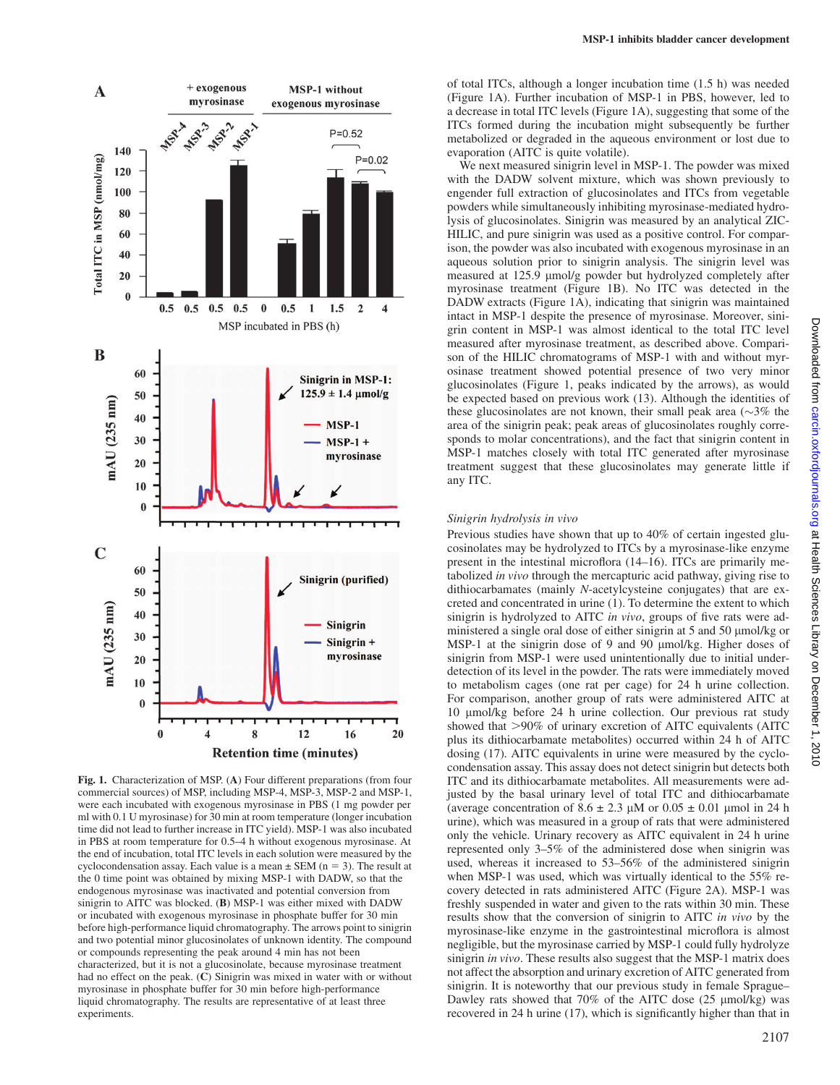

Fig. 1. Characterization of MSP. (A) Four different preparations (from four commercial sources) of MSP, including MSP-4, MSP-3, MSP-2 and MSP-1, were each incubated with exogenous myrosinase in PBS (1 mg powder per ml with 0.1 U myrosinase) for 30 min at room temperature (longer incubation time did not lead to further increase in ITC yield). MSP-1 was also incubated in PBS at room temperature for 0.5–4 h without exogenous myrosinase. At the end of incubation, total ITC levels in each solution were measured by the cyclocondensation assay. Each value is a mean  $\pm$  SEM (n = 3). The result at the 0 time point was obtained by mixing MSP-1 with DADW, so that the endogenous myrosinase was inactivated and potential conversion from sinigrin to AITC was blocked. (B) MSP-1 was either mixed with DADW or incubated with exogenous myrosinase in phosphate buffer for 30 min before high-performance liquid chromatography. The arrows point to sinigrin and two potential minor glucosinolates of unknown identity. The compound or compounds representing the peak around 4 min has not been characterized, but it is not a glucosinolate, because myrosinase treatment had no effect on the peak. (C) Sinigrin was mixed in water with or without myrosinase in phosphate buffer for 30 min before high-performance liquid chromatography. The results are representative of at least three experiments.

of total ITCs, although a longer incubation time (1.5 h) was needed (Figure 1A). Further incubation of MSP-1 in PBS, however, led to a decrease in total ITC levels (Figure 1A), suggesting that some of the ITCs formed during the incubation might subsequently be further metabolized or degraded in the aqueous environment or lost due to evaporation (AITC is quite volatile).

We next measured sinigrin level in MSP-1. The powder was mixed with the DADW solvent mixture, which was shown previously to engender full extraction of glucosinolates and ITCs from vegetable powders while simultaneously inhibiting myrosinase-mediated hydrolysis of glucosinolates. Sinigrin was measured by an analytical ZIC-HILIC, and pure sinigrin was used as a positive control. For comparison, the powder was also incubated with exogenous myrosinase in an aqueous solution prior to sinigrin analysis. The sinigrin level was measured at 125.9 µmol/g powder but hydrolyzed completely after myrosinase treatment (Figure 1B). No ITC was detected in the DADW extracts (Figure 1A), indicating that sinigrin was maintained intact in MSP-1 despite the presence of myrosinase. Moreover, sinigrin content in MSP-1 was almost identical to the total ITC level measured after myrosinase treatment, as described above. Comparison of the HILIC chromatograms of MSP-1 with and without myrosinase treatment showed potential presence of two very minor glucosinolates (Figure 1, peaks indicated by the arrows), as would be expected based on previous work (13). Although the identities of these glucosinolates are not known, their small peak area  $(\sim]3\%$  the area of the sinigrin peak; peak areas of glucosinolates roughly corresponds to molar concentrations), and the fact that sinigrin content in MSP-1 matches closely with total ITC generated after myrosinase treatment suggest that these glucosinolates may generate little if any ITC.

#### Sinigrin hydrolysis in vivo

Previous studies have shown that up to 40% of certain ingested glucosinolates may be hydrolyzed to ITCs by a myrosinase-like enzyme present in the intestinal microflora (14–16). ITCs are primarily metabolized in vivo through the mercapturic acid pathway, giving rise to dithiocarbamates (mainly N-acetylcysteine conjugates) that are excreted and concentrated in urine (1). To determine the extent to which sinigrin is hydrolyzed to AITC in vivo, groups of five rats were administered a single oral dose of either sinigrin at 5 and 50 µmol/kg or MSP-1 at the sinigrin dose of 9 and 90 µmol/kg. Higher doses of sinigrin from MSP-1 were used unintentionally due to initial underdetection of its level in the powder. The rats were immediately moved to metabolism cages (one rat per cage) for 24 h urine collection. For comparison, another group of rats were administered AITC at 10 µmol/kg before 24 h urine collection. Our previous rat study showed that >90% of urinary excretion of AITC equivalents (AITC plus its dithiocarbamate metabolites) occurred within 24 h of AITC dosing (17). AITC equivalents in urine were measured by the cyclocondensation assay. This assay does not detect sinigrin but detects both ITC and its dithiocarbamate metabolites. All measurements were adjusted by the basal urinary level of total ITC and dithiocarbamate (average concentration of  $8.6 \pm 2.3 \mu M$  or  $0.05 \pm 0.01 \mu$  mol in 24 h urine), which was measured in a group of rats that were administered only the vehicle. Urinary recovery as AITC equivalent in 24 h urine represented only 3–5% of the administered dose when sinigrin was used, whereas it increased to 53–56% of the administered sinigrin when MSP-1 was used, which was virtually identical to the 55% recovery detected in rats administered AITC (Figure 2A). MSP-1 was freshly suspended in water and given to the rats within 30 min. These results show that the conversion of sinigrin to AITC in vivo by the myrosinase-like enzyme in the gastrointestinal microflora is almost negligible, but the myrosinase carried by MSP-1 could fully hydrolyze sinigrin in vivo. These results also suggest that the MSP-1 matrix does not affect the absorption and urinary excretion of AITC generated from sinigrin. It is noteworthy that our previous study in female Sprague– Dawley rats showed that  $70\%$  of the AITC dose (25  $\mu$ mol/kg) was recovered in 24 h urine (17), which is significantly higher than that in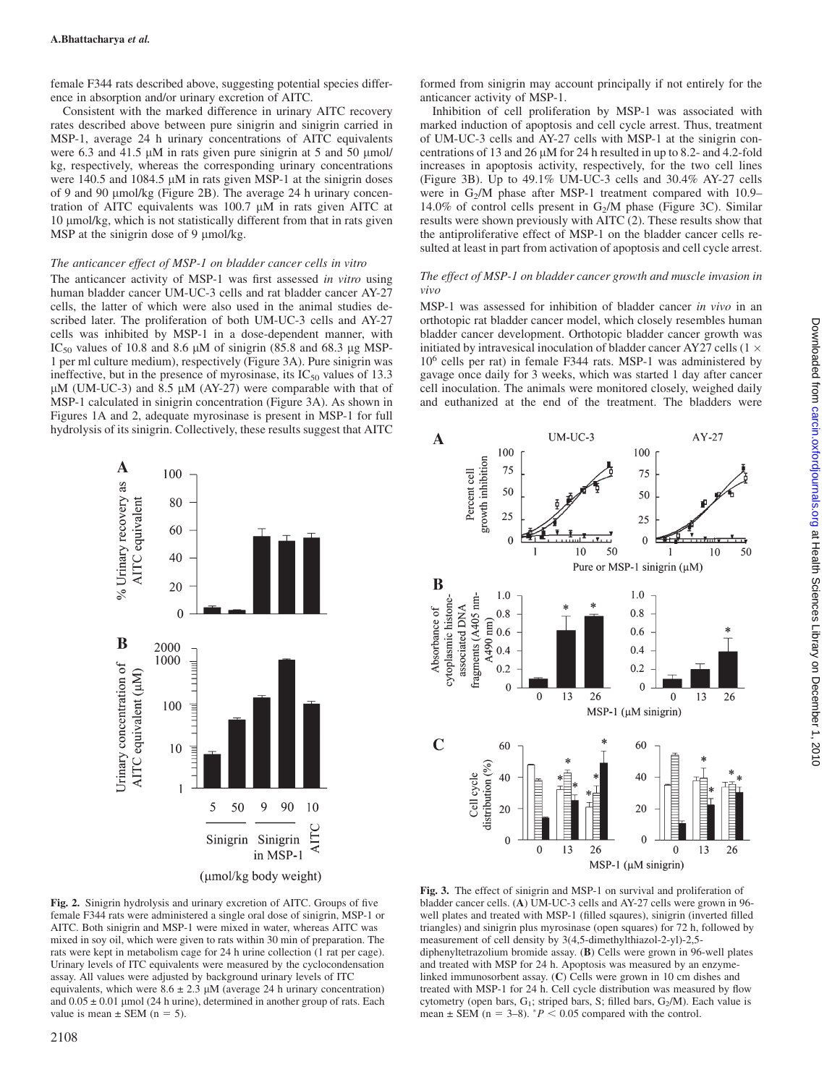female F344 rats described above, suggesting potential species difference in absorption and/or urinary excretion of AITC.

Consistent with the marked difference in urinary AITC recovery rates described above between pure sinigrin and sinigrin carried in MSP-1, average 24 h urinary concentrations of AITC equivalents were 6.3 and 41.5  $\mu$ M in rats given pure sinigrin at 5 and 50  $\mu$ mol/ kg, respectively, whereas the corresponding urinary concentrations were 140.5 and 1084.5  $\mu$ M in rats given MSP-1 at the sinigrin doses of 9 and 90 µmol/kg (Figure 2B). The average 24 h urinary concentration of AITC equivalents was  $100.7 \mu M$  in rats given AITC at 10 umol/kg, which is not statistically different from that in rats given MSP at the sinigrin dose of 9  $\mu$ mol/kg.

#### The anticancer effect of MSP-1 on bladder cancer cells in vitro

The anticancer activity of MSP-1 was first assessed in vitro using human bladder cancer UM-UC-3 cells and rat bladder cancer AY-27 cells, the latter of which were also used in the animal studies described later. The proliferation of both UM-UC-3 cells and AY-27 cells was inhibited by MSP-1 in a dose-dependent manner, with IC<sub>50</sub> values of 10.8 and 8.6  $\mu$ M of sinigrin (85.8 and 68.3  $\mu$ g MSP-1 per ml culture medium), respectively (Figure 3A). Pure sinigrin was ineffective, but in the presence of myrosinase, its  $IC_{50}$  values of 13.3  $\mu$ M (UM-UC-3) and 8.5  $\mu$ M (AY-27) were comparable with that of MSP-1 calculated in sinigrin concentration (Figure 3A). As shown in Figures 1A and 2, adequate myrosinase is present in MSP-1 for full hydrolysis of its sinigrin. Collectively, these results suggest that AITC



Fig. 2. Sinigrin hydrolysis and urinary excretion of AITC. Groups of five female F344 rats were administered a single oral dose of sinigrin, MSP-1 or AITC. Both sinigrin and MSP-1 were mixed in water, whereas AITC was mixed in soy oil, which were given to rats within 30 min of preparation. The rats were kept in metabolism cage for 24 h urine collection (1 rat per cage). Urinary levels of ITC equivalents were measured by the cyclocondensation assay. All values were adjusted by background urinary levels of ITC equivalents, which were  $8.6 \pm 2.3 \mu M$  (average 24 h urinary concentration) and  $0.05 \pm 0.01$  µmol (24 h urine), determined in another group of rats. Each value is mean  $\pm$  SEM (n = 5).

formed from sinigrin may account principally if not entirely for the anticancer activity of MSP-1.

Inhibition of cell proliferation by MSP-1 was associated with marked induction of apoptosis and cell cycle arrest. Thus, treatment of UM-UC-3 cells and AY-27 cells with MSP-1 at the sinigrin concentrations of 13 and 26  $\mu$ M for 24 h resulted in up to 8.2- and 4.2-fold increases in apoptosis activity, respectively, for the two cell lines (Figure 3B). Up to 49.1% UM-UC-3 cells and 30.4% AY-27 cells were in  $G_2/M$  phase after MSP-1 treatment compared with 10.9– 14.0% of control cells present in  $G_2/M$  phase (Figure 3C). Similar results were shown previously with AITC (2). These results show that the antiproliferative effect of MSP-1 on the bladder cancer cells resulted at least in part from activation of apoptosis and cell cycle arrest.

#### The effect of MSP-1 on bladder cancer growth and muscle invasion in vivo

MSP-1 was assessed for inhibition of bladder cancer in vivo in an orthotopic rat bladder cancer model, which closely resembles human bladder cancer development. Orthotopic bladder cancer growth was initiated by intravesical inoculation of bladder cancer AY27 cells (1  $\times$ 106 cells per rat) in female F344 rats. MSP-1 was administered by gavage once daily for 3 weeks, which was started 1 day after cancer cell inoculation. The animals were monitored closely, weighed daily and euthanized at the end of the treatment. The bladders were



Fig. 3. The effect of sinigrin and MSP-1 on survival and proliferation of bladder cancer cells. (A) UM-UC-3 cells and AY-27 cells were grown in 96 well plates and treated with MSP-1 (filled sqaures), sinigrin (inverted filled triangles) and sinigrin plus myrosinase (open squares) for 72 h, followed by measurement of cell density by 3(4,5-dimethylthiazol-2-yl)-2,5 diphenyltetrazolium bromide assay. (B) Cells were grown in 96-well plates and treated with MSP for 24 h. Apoptosis was measured by an enzymelinked immunosorbent assay. (C) Cells were grown in 10 cm dishes and treated with MSP-1 for 24 h. Cell cycle distribution was measured by flow cytometry (open bars,  $G_1$ ; striped bars, S; filled bars,  $G_2/M$ ). Each value is mean  $\pm$  SEM (n = 3–8).  $^*P$  < 0.05 compared with the control.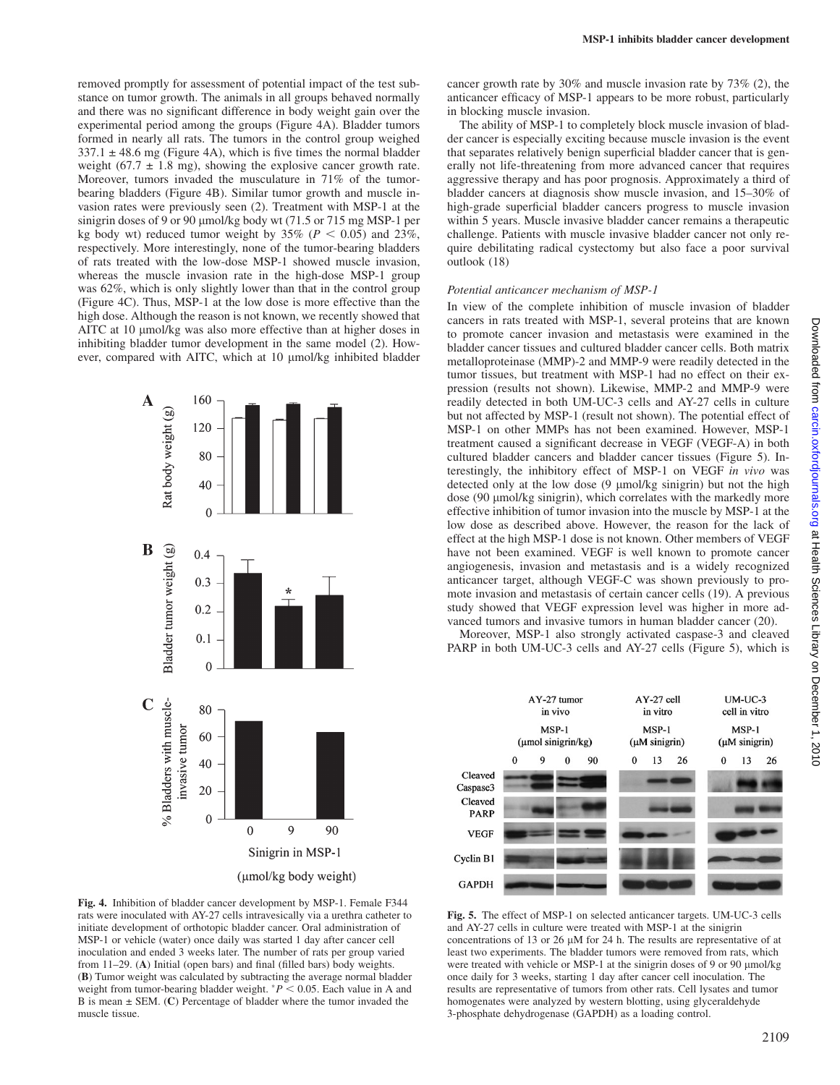removed promptly for assessment of potential impact of the test substance on tumor growth. The animals in all groups behaved normally and there was no significant difference in body weight gain over the experimental period among the groups (Figure 4A). Bladder tumors formed in nearly all rats. The tumors in the control group weighed  $337.1 \pm 48.6$  mg (Figure 4A), which is five times the normal bladder weight (67.7  $\pm$  1.8 mg), showing the explosive cancer growth rate. Moreover, tumors invaded the musculature in 71% of the tumorbearing bladders (Figure 4B). Similar tumor growth and muscle invasion rates were previously seen (2). Treatment with MSP-1 at the sinigrin doses of 9 or 90 umol/kg body wt  $(71.5 \text{ or } 715 \text{ ms MSP-1 per})$ kg body wt) reduced tumor weight by  $35\%$  ( $P < 0.05$ ) and  $23\%$ , respectively. More interestingly, none of the tumor-bearing bladders of rats treated with the low-dose MSP-1 showed muscle invasion, whereas the muscle invasion rate in the high-dose MSP-1 group was 62%, which is only slightly lower than that in the control group (Figure 4C). Thus, MSP-1 at the low dose is more effective than the high dose. Although the reason is not known, we recently showed that AITC at 10 µmol/kg was also more effective than at higher doses in inhibiting bladder tumor development in the same model (2). However, compared with AITC, which at 10 µmol/kg inhibited bladder



Fig. 4. Inhibition of bladder cancer development by MSP-1. Female F344 rats were inoculated with AY-27 cells intravesically via a urethra catheter to initiate development of orthotopic bladder cancer. Oral administration of MSP-1 or vehicle (water) once daily was started 1 day after cancer cell inoculation and ended 3 weeks later. The number of rats per group varied from 11–29. (A) Initial (open bars) and final (filled bars) body weights. (B) Tumor weight was calculated by subtracting the average normal bladder weight from tumor-bearing bladder weight.  $P < 0.05$ . Each value in A and B is mean  $\pm$  SEM. (C) Percentage of bladder where the tumor invaded the muscle tissue.

cancer growth rate by 30% and muscle invasion rate by 73% (2), the anticancer efficacy of MSP-1 appears to be more robust, particularly in blocking muscle invasion.

The ability of MSP-1 to completely block muscle invasion of bladder cancer is especially exciting because muscle invasion is the event that separates relatively benign superficial bladder cancer that is generally not life-threatening from more advanced cancer that requires aggressive therapy and has poor prognosis. Approximately a third of bladder cancers at diagnosis show muscle invasion, and 15–30% of high-grade superficial bladder cancers progress to muscle invasion within 5 years. Muscle invasive bladder cancer remains a therapeutic challenge. Patients with muscle invasive bladder cancer not only require debilitating radical cystectomy but also face a poor survival outlook (18)

#### Potential anticancer mechanism of MSP-1

In view of the complete inhibition of muscle invasion of bladder cancers in rats treated with MSP-1, several proteins that are known to promote cancer invasion and metastasis were examined in the bladder cancer tissues and cultured bladder cancer cells. Both matrix metalloproteinase (MMP)-2 and MMP-9 were readily detected in the tumor tissues, but treatment with MSP-1 had no effect on their expression (results not shown). Likewise, MMP-2 and MMP-9 were readily detected in both UM-UC-3 cells and AY-27 cells in culture but not affected by MSP-1 (result not shown). The potential effect of MSP-1 on other MMPs has not been examined. However, MSP-1 treatment caused a significant decrease in VEGF (VEGF-A) in both cultured bladder cancers and bladder cancer tissues (Figure 5). Interestingly, the inhibitory effect of MSP-1 on VEGF in vivo was detected only at the low dose (9 µmol/kg sinigrin) but not the high dose (90 μmol/kg sinigrin), which correlates with the markedly more effective inhibition of tumor invasion into the muscle by MSP-1 at the low dose as described above. However, the reason for the lack of effect at the high MSP-1 dose is not known. Other members of VEGF have not been examined. VEGF is well known to promote cancer angiogenesis, invasion and metastasis and is a widely recognized anticancer target, although VEGF-C was shown previously to promote invasion and metastasis of certain cancer cells (19). A previous study showed that VEGF expression level was higher in more advanced tumors and invasive tumors in human bladder cancer (20).

Moreover, MSP-1 also strongly activated caspase-3 and cleaved PARP in both UM-UC-3 cells and AY-27 cells (Figure 5), which is



Fig. 5. The effect of MSP-1 on selected anticancer targets. UM-UC-3 cells and AY-27 cells in culture were treated with MSP-1 at the sinigrin concentrations of 13 or 26  $\mu$ M for 24 h. The results are representative of at least two experiments. The bladder tumors were removed from rats, which were treated with vehicle or MSP-1 at the sinigrin doses of 9 or 90 µmol/kg once daily for 3 weeks, starting 1 day after cancer cell inoculation. The results are representative of tumors from other rats. Cell lysates and tumor homogenates were analyzed by western blotting, using glyceraldehyde 3-phosphate dehydrogenase (GAPDH) as a loading control.